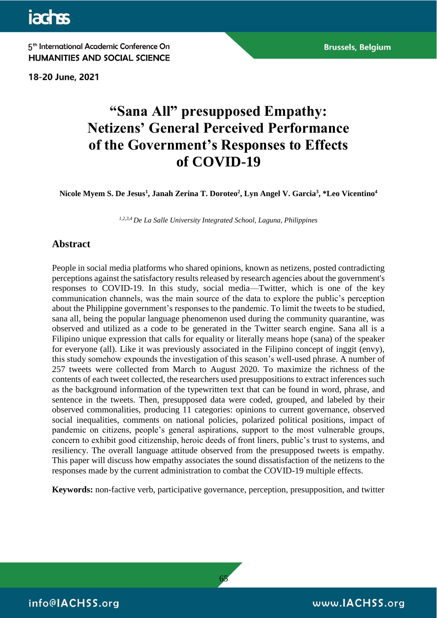**jachss** 

5<sup>th</sup> International Academic Conference On **HUMANITIES AND SOCIAL SCIENCE** 

18-20 June, 2021

# **"Sana All" presupposed Empathy: Netizens' General Perceived Performance of the Government's Responses to Effects of COVID-19**

**Nicole Myem S. De Jesus<sup>1</sup> , Janah Zerina T. Doroteo<sup>2</sup> , Lyn Angel V. Garcia<sup>3</sup> , \*Leo Vicentino<sup>4</sup>**

*1,2,3,4 De La Salle University Integrated School, Laguna, Philippines*

# **Abstract**

People in social media platforms who shared opinions, known as netizens, posted contradicting perceptions against the satisfactory results released by research agencies about the government's responses to COVID-19. In this study, social media—Twitter, which is one of the key communication channels, was the main source of the data to explore the public's perception about the Philippine government's responses to the pandemic. To limit the tweets to be studied, sana all, being the popular language phenomenon used during the community quarantine, was observed and utilized as a code to be generated in the Twitter search engine. Sana all is a Filipino unique expression that calls for equality or literally means hope (sana) of the speaker for everyone (all). Like it was previously associated in the Filipino concept of inggit (envy), this study somehow expounds the investigation of this season's well-used phrase. A number of 257 tweets were collected from March to August 2020. To maximize the richness of the contents of each tweet collected, the researchers used presuppositions to extract inferences such as the background information of the typewritten text that can be found in word, phrase, and sentence in the tweets. Then, presupposed data were coded, grouped, and labeled by their observed commonalities, producing 11 categories: opinions to current governance, observed social inequalities, comments on national policies, polarized political positions, impact of pandemic on citizens, people's general aspirations, support to the most vulnerable groups, concern to exhibit good citizenship, heroic deeds of front liners, public's trust to systems, and resiliency. The overall language attitude observed from the presupposed tweets is empathy. This paper will discuss how empathy associates the sound dissatisfaction of the netizens to the responses made by the current administration to combat the COVID-19 multiple effects.

**Keywords:** non-factive verb, participative governance, perception, presupposition, and twitter

65

info@IACHSS.org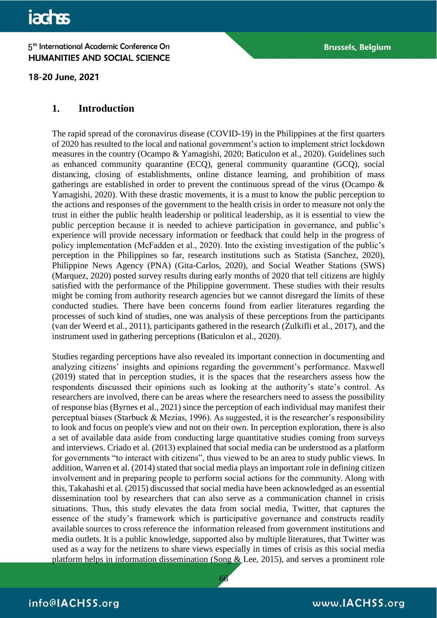18-20 June, 2021

# **1. Introduction**

The rapid spread of the coronavirus disease (COVID-19) in the Philippines at the first quarters of 2020 has resulted to the local and national government's action to implement strict lockdown measures in the country (Ocampo & Yamagishi, 2020; Baticulon et al., 2020). Guidelines such as enhanced community quarantine (ECQ), general community quarantine (GCQ), social distancing, closing of establishments, online distance learning, and prohibition of mass gatherings are established in order to prevent the continuous spread of the virus (Ocampo & Yamagishi, 2020). With these drastic movements, it is a must to know the public perception to the actions and responses of the government to the health crisis in order to measure not only the trust in either the public health leadership or political leadership, as it is essential to view the public perception because it is needed to achieve participation in governance, and public's experience will provide necessary information or feedback that could help in the progress of policy implementation (McFadden et al., 2020). Into the existing investigation of the public's perception in the Philippines so far, research institutions such as Statista (Sanchez, 2020), Philippine News Agency (PNA) (Gita-Carlos, 2020), and Social Weather Stations (SWS) (Marquez, 2020) posted survey results during early months of 2020 that tell citizens are highly satisfied with the performance of the Philippine government. These studies with their results might be coming from authority research agencies but we cannot disregard the limits of these conducted studies. There have been concerns found from earlier literatures regarding the processes of such kind of studies, one was analysis of these perceptions from the participants (van der Weerd et al., 2011), participants gathered in the research (Zulkifli et al., 2017), and the instrument used in gathering perceptions (Baticulon et al., 2020).

Studies regarding perceptions have also revealed its important connection in documenting and analyzing citizens' insights and opinions regarding the government's performance. Maxwell (2019) stated that in perception studies, it is the spaces that the researchers assess how the respondents discussed their opinions such as looking at the authority's state's control. As researchers are involved, there can be areas where the researchers need to assess the possibility of response bias (Byrnes et al., 2021) since the perception of each individual may manifest their perceptual biases (Starbuck & Mezias, 1996). As suggested, it is the researcher's responsibility to look and focus on people's view and not on their own. In perception exploration, there is also a set of available data aside from conducting large quantitative studies coming from surveys and interviews. Criado et al. (2013) explained that social media can be understood as a platform for governments "to interact with citizens", thus viewed to be an area to study public views. In addition, Warren et al. (2014) stated that social media plays an important role in defining citizen involvement and in preparing people to perform social actions for the community. Along with this, Takahashi et al. (2015) discussed that social media have been acknowledged as an essential dissemination tool by researchers that can also serve as a communication channel in crisis situations. Thus, this study elevates the data from social media, Twitter, that captures the essence of the study's framework which is participative governance and constructs readily available sources to cross reference the information released from government institutions and media outlets. It is a public knowledge, supported also by multiple literatures, that Twitter was used as a way for the netizens to share views especially in times of crisis as this social media platform helps in information dissemination (Song  $&$  Lee, 2015), and serves a prominent role

66

info@IACHSS.org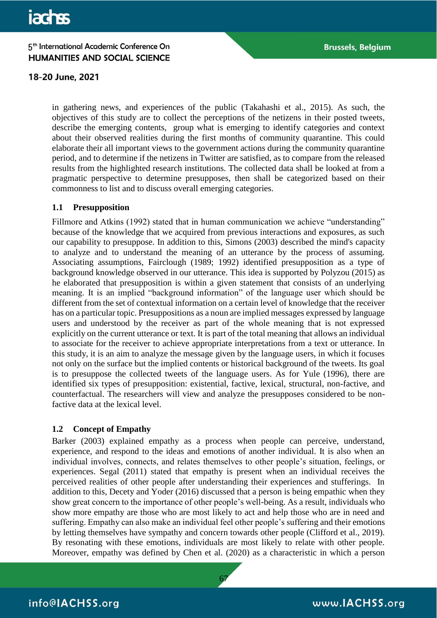### 18-20 June, 2021

in gathering news, and experiences of the public (Takahashi et al., 2015). As such, the objectives of this study are to collect the perceptions of the netizens in their posted tweets, describe the emerging contents, group what is emerging to identify categories and context about their observed realities during the first months of community quarantine. This could elaborate their all important views to the government actions during the community quarantine period, and to determine if the netizens in Twitter are satisfied, as to compare from the released results from the highlighted research institutions. The collected data shall be looked at from a pragmatic perspective to determine presupposes, then shall be categorized based on their commonness to list and to discuss overall emerging categories.

#### **1.1 Presupposition**

Fillmore and Atkins (1992) stated that in human communication we achieve "understanding" because of the knowledge that we acquired from previous interactions and exposures, as such our capability to presuppose. In addition to this, Simons (2003) described the mind's capacity to analyze and to understand the meaning of an utterance by the process of assuming. Associating assumptions, Fairclough (1989; 1992) identified presupposition as a type of background knowledge observed in our utterance. This idea is supported by Polyzou (2015) as he elaborated that presupposition is within a given statement that consists of an underlying meaning. It is an implied "background information" of the language user which should be different from the set of contextual information on a certain level of knowledge that the receiver has on a particular topic. Presuppositions as a noun are implied messages expressed by language users and understood by the receiver as part of the whole meaning that is not expressed explicitly on the current utterance or text. It is part of the total meaning that allows an individual to associate for the receiver to achieve appropriate interpretations from a text or utterance. In this study, it is an aim to analyze the message given by the language users, in which it focuses not only on the surface but the implied contents or historical background of the tweets. Its goal is to presuppose the collected tweets of the language users. As for Yule (1996), there are identified six types of presupposition: existential, factive, lexical, structural, non-factive, and counterfactual. The researchers will view and analyze the presupposes considered to be nonfactive data at the lexical level.

### **1.2 Concept of Empathy**

Barker (2003) explained empathy as a process when people can perceive, understand, experience, and respond to the ideas and emotions of another individual. It is also when an individual involves, connects, and relates themselves to other people's situation, feelings, or experiences. Segal (2011) stated that empathy is present when an individual receives the perceived realities of other people after understanding their experiences and stufferings. In addition to this, Decety and Yoder (2016) discussed that a person is being empathic when they show great concern to the importance of other people's well-being. As a result, individuals who show more empathy are those who are most likely to act and help those who are in need and suffering. Empathy can also make an individual feel other people's suffering and their emotions by letting themselves have sympathy and concern towards other people (Clifford et al., 2019). By resonating with these emotions, individuals are most likely to relate with other people. Moreover, empathy was defined by Chen et al. (2020) as a characteristic in which a person

67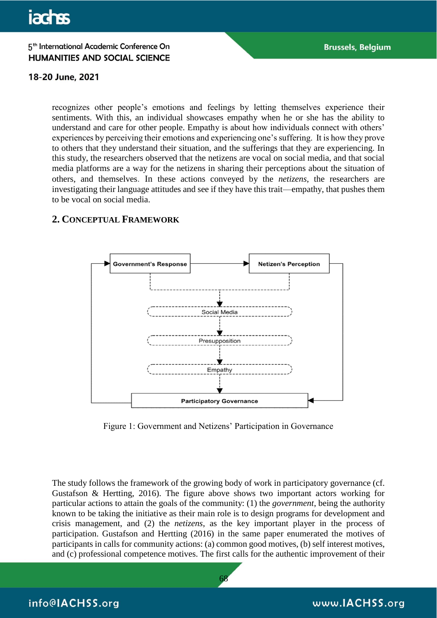### 18-20 June, 2021

recognizes other people's emotions and feelings by letting themselves experience their sentiments. With this, an individual showcases empathy when he or she has the ability to understand and care for other people. Empathy is about how individuals connect with others' experiences by perceiving their emotions and experiencing one's suffering. It is how they prove to others that they understand their situation, and the sufferings that they are experiencing. In this study, the researchers observed that the netizens are vocal on social media, and that social media platforms are a way for the netizens in sharing their perceptions about the situation of others, and themselves. In these actions conveyed by the *netizens*, the researchers are investigating their language attitudes and see if they have this trait—empathy, that pushes them to be vocal on social media.

### **2. CONCEPTUAL FRAMEWORK**



Figure 1: Government and Netizens' Participation in Governance

The study follows the framework of the growing body of work in participatory governance (cf. Gustafson & Hertting, 2016). The figure above shows two important actors working for particular actions to attain the goals of the community: (1) the *government*, being the authority known to be taking the initiative as their main role is to design programs for development and crisis management, and (2) the *netizens*, as the key important player in the process of participation. Gustafson and Hertting (2016) in the same paper enumerated the motives of participants in calls for community actions: (a) common good motives, (b) self interest motives, and (c) professional competence motives. The first calls for the authentic improvement of their

68

info@IACHSS.org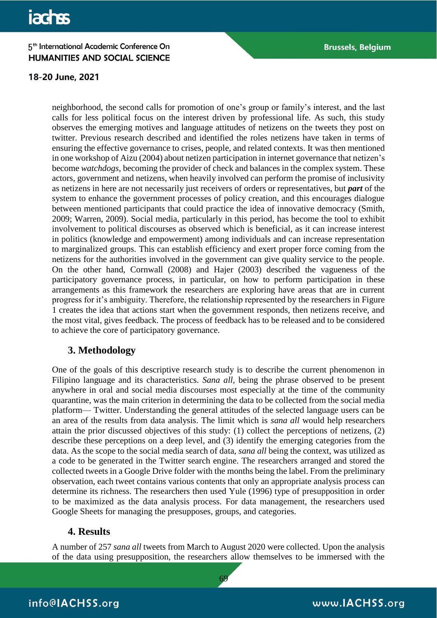### 18-20 June, 2021

neighborhood, the second calls for promotion of one's group or family's interest, and the last calls for less political focus on the interest driven by professional life. As such, this study observes the emerging motives and language attitudes of netizens on the tweets they post on twitter. Previous research described and identified the roles netizens have taken in terms of ensuring the effective governance to crises, people, and related contexts. It was then mentioned in one workshop of Aizu (2004) about netizen participation in internet governance that netizen's become *watchdogs*, becoming the provider of check and balances in the complex system. These actors, government and netizens, when heavily involved can perform the promise of inclusivity as netizens in here are not necessarily just receivers of orders or representatives, but *part* of the system to enhance the government processes of policy creation, and this encourages dialogue between mentioned participants that could practice the idea of innovative democracy (Smith, 2009; Warren, 2009). Social media, particularly in this period, has become the tool to exhibit involvement to political discourses as observed which is beneficial, as it can increase interest in politics (knowledge and empowerment) among individuals and can increase representation to marginalized groups. This can establish efficiency and exert proper force coming from the netizens for the authorities involved in the government can give quality service to the people. On the other hand, Cornwall (2008) and Hajer (2003) described the vagueness of the participatory governance process, in particular, on how to perform participation in these arrangements as this framework the researchers are exploring have areas that are in current progress for it's ambiguity. Therefore, the relationship represented by the researchers in Figure 1 creates the idea that actions start when the government responds, then netizens receive, and the most vital, gives feedback. The process of feedback has to be released and to be considered to achieve the core of participatory governance.

# **3. Methodology**

One of the goals of this descriptive research study is to describe the current phenomenon in Filipino language and its characteristics. *Sana all,* being the phrase observed to be present anywhere in oral and social media discourses most especially at the time of the community quarantine, was the main criterion in determining the data to be collected from the social media platform— Twitter. Understanding the general attitudes of the selected language users can be an area of the results from data analysis. The limit which is *sana all* would help researchers attain the prior discussed objectives of this study: (1) collect the perceptions of netizens, (2) describe these perceptions on a deep level, and (3) identify the emerging categories from the data. As the scope to the social media search of data, *sana all* being the context, was utilized as a code to be generated in the Twitter search engine. The researchers arranged and stored the collected tweets in a Google Drive folder with the months being the label. From the preliminary observation, each tweet contains various contents that only an appropriate analysis process can determine its richness. The researchers then used Yule (1996) type of presupposition in order to be maximized as the data analysis process. For data management, the researchers used Google Sheets for managing the presupposes, groups, and categories.

# **4. Results**

A number of 257 *sana all* tweets from March to August 2020 were collected. Upon the analysis of the data using presupposition, the researchers allow themselves to be immersed with the

69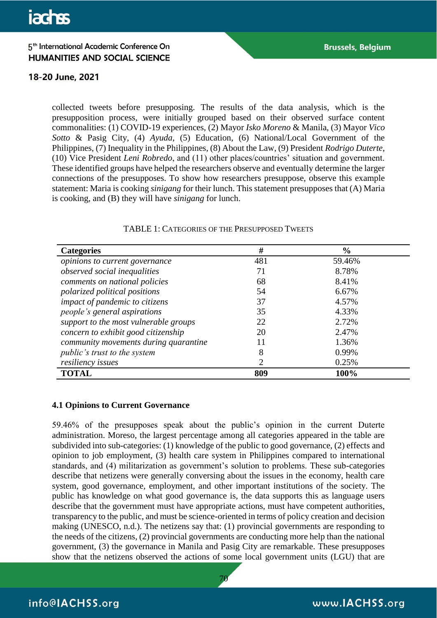### 18-20 June, 2021

collected tweets before presupposing. The results of the data analysis, which is the presupposition process, were initially grouped based on their observed surface content commonalities: (1) COVID-19 experiences, (2) Mayor *Isko Moreno* & Manila, (3) Mayor *Vico Sotto* & Pasig City, (4) *Ayuda*, (5) Education, (6) National/Local Government of the Philippines, (7) Inequality in the Philippines, (8) About the Law, (9) President *Rodrigo Duterte*, (10) Vice President *Leni Robredo*, and (11) other places/countries' situation and government. These identified groups have helped the researchers observe and eventually determine the larger connections of the presupposes. To show how researchers presuppose, observe this example statement: Maria is cooking *sinigang* for their lunch. This statement presupposes that (A) Maria is cooking, and (B) they will have *sinigang* for lunch.

| <b>Categories</b>                     | #   | $\frac{6}{6}$ |
|---------------------------------------|-----|---------------|
| opinions to current governance        | 481 | 59.46%        |
| observed social inequalities          | 71  | 8.78%         |
| comments on national policies         | 68  | 8.41%         |
| polarized political positions         | 54  | 6.67%         |
| impact of pandemic to citizens        | 37  | 4.57%         |
| people's general aspirations          | 35  | 4.33%         |
| support to the most vulnerable groups | 22  | 2.72%         |
| concern to exhibit good citizenship   | 20  | 2.47%         |
| community movements during quarantine |     | 1.36%         |
| <i>public's trust to the system</i>   | 8   | 0.99%         |
| resiliency issues                     |     | 0.25%         |
| <b>TOTAL</b>                          | 809 | 100%          |

#### TABLE 1: CATEGORIES OF THE PRESUPPOSED TWEETS

#### **4.1 Opinions to Current Governance**

59.46% of the presupposes speak about the public's opinion in the current Duterte administration. Moreso, the largest percentage among all categories appeared in the table are subdivided into sub-categories: (1) knowledge of the public to good governance, (2) effects and opinion to job employment, (3) health care system in Philippines compared to international standards, and (4) militarization as government's solution to problems. These sub-categories describe that netizens were generally conversing about the issues in the economy, health care system, good governance, employment, and other important institutions of the society. The public has knowledge on what good governance is, the data supports this as language users describe that the government must have appropriate actions, must have competent authorities, transparency to the public, and must be science-oriented in terms of policy creation and decision making (UNESCO, n.d.). The netizens say that: (1) provincial governments are responding to the needs of the citizens, (2) provincial governments are conducting more help than the national government, (3) the governance in Manila and Pasig City are remarkable. These presupposes show that the netizens observed the actions of some local government units (LGU) that are

70

info@IACHSS.org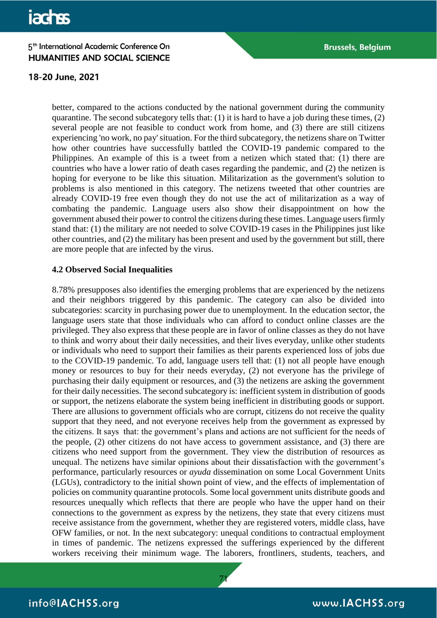#### 18-20 June, 2021

better, compared to the actions conducted by the national government during the community quarantine. The second subcategory tells that: (1) it is hard to have a job during these times, (2) several people are not feasible to conduct work from home, and (3) there are still citizens experiencing 'no work, no pay' situation. For the third subcategory, the netizens share on Twitter how other countries have successfully battled the COVID-19 pandemic compared to the Philippines. An example of this is a tweet from a netizen which stated that: (1) there are countries who have a lower ratio of death cases regarding the pandemic, and (2) the netizen is hoping for everyone to be like this situation. Militarization as the government's solution to problems is also mentioned in this category. The netizens tweeted that other countries are already COVID-19 free even though they do not use the act of militarization as a way of combating the pandemic. Language users also show their disappointment on how the government abused their power to control the citizens during these times. Language users firmly stand that: (1) the military are not needed to solve COVID-19 cases in the Philippines just like other countries, and (2) the military has been present and used by the government but still, there are more people that are infected by the virus.

#### **4.2 Observed Social Inequalities**

8.78% presupposes also identifies the emerging problems that are experienced by the netizens and their neighbors triggered by this pandemic. The category can also be divided into subcategories: scarcity in purchasing power due to unemployment. In the education sector, the language users state that those individuals who can afford to conduct online classes are the privileged. They also express that these people are in favor of online classes as they do not have to think and worry about their daily necessities, and their lives everyday, unlike other students or individuals who need to support their families as their parents experienced loss of jobs due to the COVID-19 pandemic. To add, language users tell that: (1) not all people have enough money or resources to buy for their needs everyday, (2) not everyone has the privilege of purchasing their daily equipment or resources, and (3) the netizens are asking the government for their daily necessities. The second subcategory is: inefficient system in distribution of goods or support, the netizens elaborate the system being inefficient in distributing goods or support. There are allusions to government officials who are corrupt, citizens do not receive the quality support that they need, and not everyone receives help from the government as expressed by the citizens. It says that: the government's plans and actions are not sufficient for the needs of the people, (2) other citizens do not have access to government assistance, and (3) there are citizens who need support from the government. They view the distribution of resources as unequal. The netizens have similar opinions about their dissatisfaction with the government's performance, particularly resources or *ayuda* dissemination on some Local Government Units (LGUs), contradictory to the initial shown point of view, and the effects of implementation of policies on community quarantine protocols. Some local government units distribute goods and resources unequally which reflects that there are people who have the upper hand on their connections to the government as express by the netizens, they state that every citizens must receive assistance from the government, whether they are registered voters, middle class, have OFW families, or not. In the next subcategory: unequal conditions to contractual employment in times of pandemic. The netizens expressed the sufferings experienced by the different workers receiving their minimum wage. The laborers, frontliners, students, teachers, and

71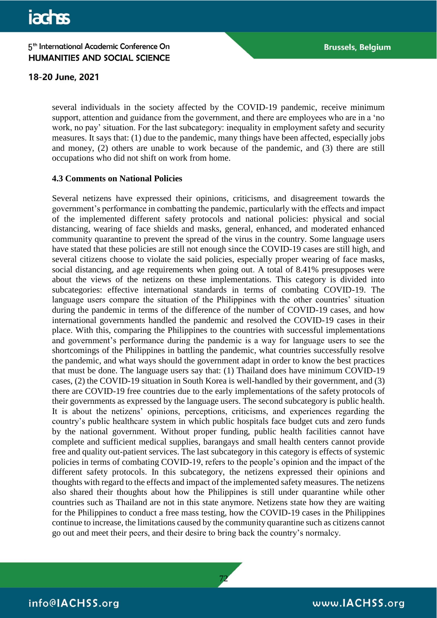18-20 June, 2021

several individuals in the society affected by the COVID-19 pandemic, receive minimum support, attention and guidance from the government, and there are employees who are in a 'no work, no pay' situation. For the last subcategory: inequality in employment safety and security measures. It says that: (1) due to the pandemic, many things have been affected, especially jobs and money, (2) others are unable to work because of the pandemic, and (3) there are still occupations who did not shift on work from home.

### **4.3 Comments on National Policies**

Several netizens have expressed their opinions, criticisms, and disagreement towards the government's performance in combatting the pandemic, particularly with the effects and impact of the implemented different safety protocols and national policies: physical and social distancing, wearing of face shields and masks, general, enhanced, and moderated enhanced community quarantine to prevent the spread of the virus in the country. Some language users have stated that these policies are still not enough since the COVID-19 cases are still high, and several citizens choose to violate the said policies, especially proper wearing of face masks, social distancing, and age requirements when going out. A total of 8.41% presupposes were about the views of the netizens on these implementations. This category is divided into subcategories: effective international standards in terms of combating COVID-19. The language users compare the situation of the Philippines with the other countries' situation during the pandemic in terms of the difference of the number of COVID-19 cases, and how international governments handled the pandemic and resolved the COVID-19 cases in their place. With this, comparing the Philippines to the countries with successful implementations and government's performance during the pandemic is a way for language users to see the shortcomings of the Philippines in battling the pandemic, what countries successfully resolve the pandemic, and what ways should the government adapt in order to know the best practices that must be done. The language users say that: (1) Thailand does have minimum COVID-19 cases, (2) the COVID-19 situation in South Korea is well-handled by their government, and (3) there are COVID-19 free countries due to the early implementations of the safety protocols of their governments as expressed by the language users. The second subcategory is public health. It is about the netizens' opinions, perceptions, criticisms, and experiences regarding the country's public healthcare system in which public hospitals face budget cuts and zero funds by the national government. Without proper funding, public health facilities cannot have complete and sufficient medical supplies, barangays and small health centers cannot provide free and quality out-patient services. The last subcategory in this category is effects of systemic policies in terms of combating COVID-19, refers to the people's opinion and the impact of the different safety protocols. In this subcategory, the netizens expressed their opinions and thoughts with regard to the effects and impact of the implemented safety measures. The netizens also shared their thoughts about how the Philippines is still under quarantine while other countries such as Thailand are not in this state anymore. Netizens state how they are waiting for the Philippines to conduct a free mass testing, how the COVID-19 cases in the Philippines continue to increase, the limitations caused by the community quarantine such as citizens cannot go out and meet their peers, and their desire to bring back the country's normalcy.

72

# info@IACHSS.org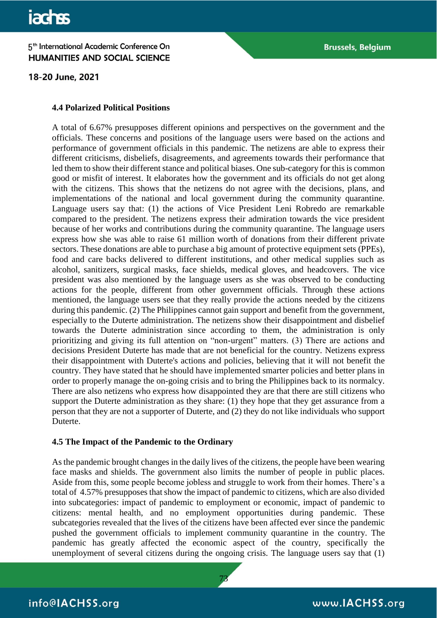18-20 June, 2021

#### **4.4 Polarized Political Positions**

A total of 6.67% presupposes different opinions and perspectives on the government and the officials. These concerns and positions of the language users were based on the actions and performance of government officials in this pandemic. The netizens are able to express their different criticisms, disbeliefs, disagreements, and agreements towards their performance that led them to show their different stance and political biases. One sub-category for this is common good or misfit of interest. It elaborates how the government and its officials do not get along with the citizens. This shows that the netizens do not agree with the decisions, plans, and implementations of the national and local government during the community quarantine. Language users say that: (1) the actions of Vice President Leni Robredo are remarkable compared to the president. The netizens express their admiration towards the vice president because of her works and contributions during the community quarantine. The language users express how she was able to raise 61 million worth of donations from their different private sectors. These donations are able to purchase a big amount of protective equipment sets (PPEs), food and care backs delivered to different institutions, and other medical supplies such as alcohol, sanitizers, surgical masks, face shields, medical gloves, and headcovers. The vice president was also mentioned by the language users as she was observed to be conducting actions for the people, different from other government officials. Through these actions mentioned, the language users see that they really provide the actions needed by the citizens during this pandemic. (2) The Philippines cannot gain support and benefit from the government, especially to the Duterte administration. The netizens show their disappointment and disbelief towards the Duterte administration since according to them, the administration is only prioritizing and giving its full attention on "non-urgent" matters. (3) There are actions and decisions President Duterte has made that are not beneficial for the country. Netizens express their disappointment with Duterte's actions and policies, believing that it will not benefit the country. They have stated that he should have implemented smarter policies and better plans in order to properly manage the on-going crisis and to bring the Philippines back to its normalcy. There are also netizens who express how disappointed they are that there are still citizens who support the Duterte administration as they share: (1) they hope that they get assurance from a person that they are not a supporter of Duterte, and (2) they do not like individuals who support Duterte.

### **4.5 The Impact of the Pandemic to the Ordinary**

As the pandemic brought changes in the daily lives of the citizens, the people have been wearing face masks and shields. The government also limits the number of people in public places. Aside from this, some people become jobless and struggle to work from their homes. There's a total of 4.57% presupposes that show the impact of pandemic to citizens, which are also divided into subcategories: impact of pandemic to employment or economic, impact of pandemic to citizens: mental health, and no employment opportunities during pandemic. These subcategories revealed that the lives of the citizens have been affected ever since the pandemic pushed the government officials to implement community quarantine in the country. The pandemic has greatly affected the economic aspect of the country, specifically the unemployment of several citizens during the ongoing crisis. The language users say that (1)

73

info@IACHSS.org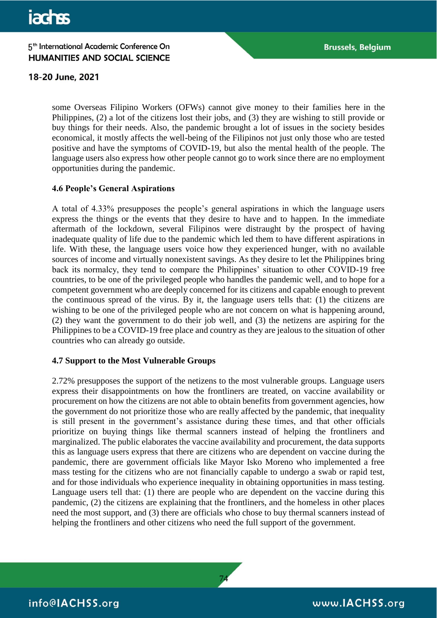18-20 June, 2021

some Overseas Filipino Workers (OFWs) cannot give money to their families here in the Philippines, (2) a lot of the citizens lost their jobs, and (3) they are wishing to still provide or buy things for their needs. Also, the pandemic brought a lot of issues in the society besides economical, it mostly affects the well-being of the Filipinos not just only those who are tested positive and have the symptoms of COVID-19, but also the mental health of the people. The language users also express how other people cannot go to work since there are no employment opportunities during the pandemic.

### **4.6 People's General Aspirations**

A total of 4.33% presupposes the people's general aspirations in which the language users express the things or the events that they desire to have and to happen. In the immediate aftermath of the lockdown, several Filipinos were distraught by the prospect of having inadequate quality of life due to the pandemic which led them to have different aspirations in life. With these, the language users voice how they experienced hunger, with no available sources of income and virtually nonexistent savings. As they desire to let the Philippines bring back its normalcy, they tend to compare the Philippines' situation to other COVID-19 free countries, to be one of the privileged people who handles the pandemic well, and to hope for a competent government who are deeply concerned for its citizens and capable enough to prevent the continuous spread of the virus. By it, the language users tells that: (1) the citizens are wishing to be one of the privileged people who are not concern on what is happening around, (2) they want the government to do their job well, and (3) the netizens are aspiring for the Philippines to be a COVID-19 free place and country as they are jealous to the situation of other countries who can already go outside.

#### **4.7 Support to the Most Vulnerable Groups**

2.72% presupposes the support of the netizens to the most vulnerable groups. Language users express their disappointments on how the frontliners are treated, on vaccine availability or procurement on how the citizens are not able to obtain benefits from government agencies, how the government do not prioritize those who are really affected by the pandemic, that inequality is still present in the government's assistance during these times, and that other officials prioritize on buying things like thermal scanners instead of helping the frontliners and marginalized. The public elaborates the vaccine availability and procurement, the data supports this as language users express that there are citizens who are dependent on vaccine during the pandemic, there are government officials like Mayor Isko Moreno who implemented a free mass testing for the citizens who are not financially capable to undergo a swab or rapid test, and for those individuals who experience inequality in obtaining opportunities in mass testing. Language users tell that: (1) there are people who are dependent on the vaccine during this pandemic, (2) the citizens are explaining that the frontliners, and the homeless in other places need the most support, and (3) there are officials who chose to buy thermal scanners instead of helping the frontliners and other citizens who need the full support of the government.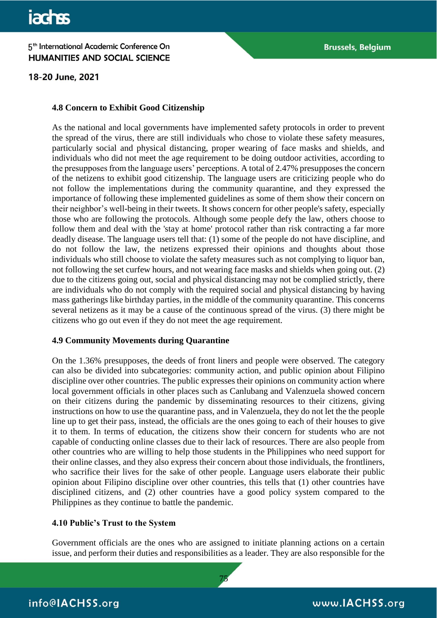18-20 June, 2021

#### **4.8 Concern to Exhibit Good Citizenship**

As the national and local governments have implemented safety protocols in order to prevent the spread of the virus, there are still individuals who chose to violate these safety measures, particularly social and physical distancing, proper wearing of face masks and shields, and individuals who did not meet the age requirement to be doing outdoor activities, according to the presupposes from the language users' perceptions. A total of 2.47% presupposes the concern of the netizens to exhibit good citizenship. The language users are criticizing people who do not follow the implementations during the community quarantine, and they expressed the importance of following these implemented guidelines as some of them show their concern on their neighbor's well-being in their tweets. It shows concern for other people's safety, especially those who are following the protocols. Although some people defy the law, others choose to follow them and deal with the 'stay at home' protocol rather than risk contracting a far more deadly disease. The language users tell that: (1) some of the people do not have discipline, and do not follow the law, the netizens expressed their opinions and thoughts about those individuals who still choose to violate the safety measures such as not complying to liquor ban, not following the set curfew hours, and not wearing face masks and shields when going out. (2) due to the citizens going out, social and physical distancing may not be complied strictly, there are individuals who do not comply with the required social and physical distancing by having mass gatherings like birthday parties, in the middle of the community quarantine. This concerns several netizens as it may be a cause of the continuous spread of the virus. (3) there might be citizens who go out even if they do not meet the age requirement.

#### **4.9 Community Movements during Quarantine**

On the 1.36% presupposes, the deeds of front liners and people were observed. The category can also be divided into subcategories: community action, and public opinion about Filipino discipline over other countries. The public expresses their opinions on community action where local government officials in other places such as Canlubang and Valenzuela showed concern on their citizens during the pandemic by disseminating resources to their citizens, giving instructions on how to use the quarantine pass, and in Valenzuela, they do not let the the people line up to get their pass, instead, the officials are the ones going to each of their houses to give it to them. In terms of education, the citizens show their concern for students who are not capable of conducting online classes due to their lack of resources. There are also people from other countries who are willing to help those students in the Philippines who need support for their online classes, and they also express their concern about those individuals, the frontliners, who sacrifice their lives for the sake of other people. Language users elaborate their public opinion about Filipino discipline over other countries, this tells that (1) other countries have disciplined citizens, and (2) other countries have a good policy system compared to the Philippines as they continue to battle the pandemic.

#### **4.10 Public's Trust to the System**

Government officials are the ones who are assigned to initiate planning actions on a certain issue, and perform their duties and responsibilities as a leader. They are also responsible for the

75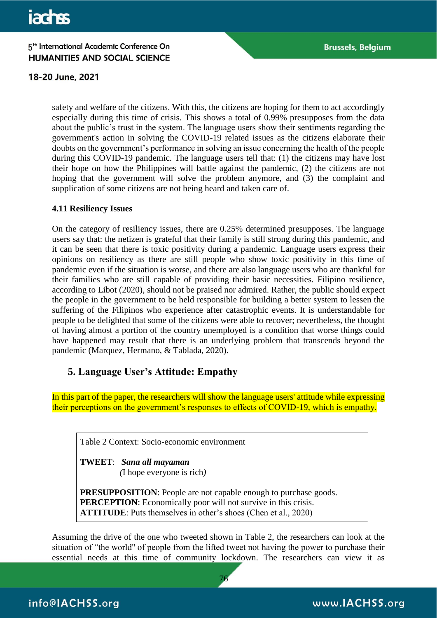# 18-20 June, 2021

safety and welfare of the citizens. With this, the citizens are hoping for them to act accordingly especially during this time of crisis. This shows a total of 0.99% presupposes from the data about the public's trust in the system. The language users show their sentiments regarding the government's action in solving the COVID-19 related issues as the citizens elaborate their doubts on the government's performance in solving an issue concerning the health of the people during this COVID-19 pandemic. The language users tell that: (1) the citizens may have lost their hope on how the Philippines will battle against the pandemic, (2) the citizens are not hoping that the government will solve the problem anymore, and (3) the complaint and supplication of some citizens are not being heard and taken care of.

#### **4.11 Resiliency Issues**

On the category of resiliency issues, there are 0.25% determined presupposes. The language users say that: the netizen is grateful that their family is still strong during this pandemic, and it can be seen that there is toxic positivity during a pandemic. Language users express their opinions on resiliency as there are still people who show toxic positivity in this time of pandemic even if the situation is worse, and there are also language users who are thankful for their families who are still capable of providing their basic necessities. Filipino resilience, according to Libot (2020), should not be praised nor admired. Rather, the public should expect the people in the government to be held responsible for building a better system to lessen the suffering of the Filipinos who experience after catastrophic events. It is understandable for people to be delighted that some of the citizens were able to recover; nevertheless, the thought of having almost a portion of the country unemployed is a condition that worse things could have happened may result that there is an underlying problem that transcends beyond the pandemic (Marquez, Hermano, & Tablada, 2020).

# **5. Language User's Attitude: Empathy**

In this part of the paper, the researchers will show the language users' attitude while expressing their perceptions on the government's responses to effects of COVID-19, which is empathy.

Table 2 Context: Socio-economic environment

**TWEET**: *Sana all mayaman (*I hope everyone is rich*)* 

**PRESUPPOSITION**: People are not capable enough to purchase goods. **PERCEPTION:** Economically poor will not survive in this crisis. **ATTITUDE**: Puts themselves in other's shoes (Chen et al., 2020)

Assuming the drive of the one who tweeted shown in Table 2, the researchers can look at the situation of "the world'' of people from the lifted tweet not having the power to purchase their essential needs at this time of community lockdown. The researchers can view it as

76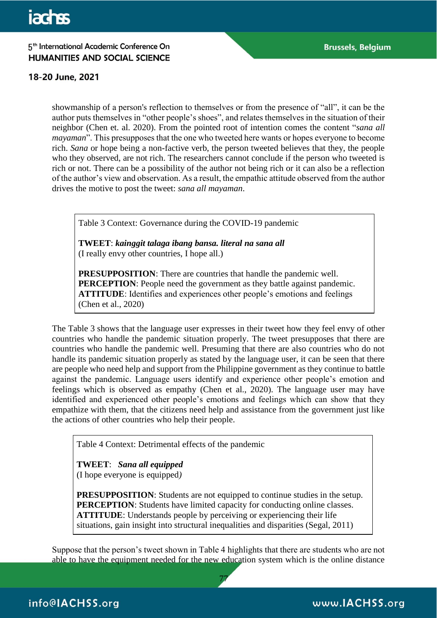# 18-20 June, 2021

showmanship of a person's reflection to themselves or from the presence of "all", it can be the author puts themselves in "other people's shoes", and relates themselves in the situation of their neighbor (Chen et. al. 2020). From the pointed root of intention comes the content "*sana all mayaman*". This presupposes that the one who tweeted here wants or hopes everyone to become rich. *Sana* or hope being a non-factive verb, the person tweeted believes that they, the people who they observed, are not rich. The researchers cannot conclude if the person who tweeted is rich or not. There can be a possibility of the author not being rich or it can also be a reflection of the author's view and observation. As a result, the empathic attitude observed from the author drives the motive to post the tweet: *sana all mayaman*.

Table 3 Context: Governance during the COVID-19 pandemic

**TWEET**: *kainggit talaga ibang bansa. literal na sana all*  (I really envy other countries, I hope all.)

**PRESUPPOSITION**: There are countries that handle the pandemic well. **PERCEPTION:** People need the government as they battle against pandemic. **ATTITUDE**: Identifies and experiences other people's emotions and feelings (Chen et al., 2020)

The Table 3 shows that the language user expresses in their tweet how they feel envy of other countries who handle the pandemic situation properly. The tweet presupposes that there are countries who handle the pandemic well. Presuming that there are also countries who do not handle its pandemic situation properly as stated by the language user, it can be seen that there are people who need help and support from the Philippine government as they continue to battle against the pandemic. Language users identify and experience other people's emotion and feelings which is observed as empathy (Chen et al., 2020). The language user may have identified and experienced other people's emotions and feelings which can show that they empathize with them, that the citizens need help and assistance from the government just like the actions of other countries who help their people.

Table 4 Context: Detrimental effects of the pandemic

**TWEET**: *Sana all equipped* (I hope everyone is equipped*)*

**PRESUPPOSITION:** Students are not equipped to continue studies in the setup. **PERCEPTION:** Students have limited capacity for conducting online classes. **ATTITUDE**: Understands people by perceiving or experiencing their life situations, gain insight into structural inequalities and disparities (Segal, 2011)

Suppose that the person's tweet shown in Table 4 highlights that there are students who are not able to have the equipment needed for the new education system which is the online distance

77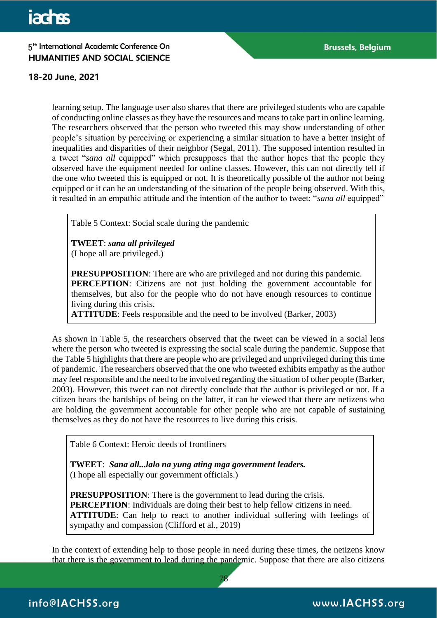# 18-20 June, 2021

learning setup. The language user also shares that there are privileged students who are capable of conducting online classes as they have the resources and means to take part in online learning. The researchers observed that the person who tweeted this may show understanding of other people's situation by perceiving or experiencing a similar situation to have a better insight of inequalities and disparities of their neighbor (Segal, 2011). The supposed intention resulted in a tweet "*sana all* equipped" which presupposes that the author hopes that the people they observed have the equipment needed for online classes. However, this can not directly tell if the one who tweeted this is equipped or not. It is theoretically possible of the author not being equipped or it can be an understanding of the situation of the people being observed. With this, it resulted in an empathic attitude and the intention of the author to tweet: "*sana all* equipped"

Table 5 Context: Social scale during the pandemic

**TWEET**: *sana all privileged* (I hope all are privileged.)

**PRESUPPOSITION:** There are who are privileged and not during this pandemic. **PERCEPTION:** Citizens are not just holding the government accountable for themselves, but also for the people who do not have enough resources to continue living during this crisis.

**ATTITUDE**: Feels responsible and the need to be involved (Barker, 2003)

As shown in Table 5, the researchers observed that the tweet can be viewed in a social lens where the person who tweeted is expressing the social scale during the pandemic. Suppose that the Table 5 highlights that there are people who are privileged and unprivileged during this time of pandemic. The researchers observed that the one who tweeted exhibits empathy as the author may feel responsible and the need to be involved regarding the situation of other people (Barker, 2003). However, this tweet can not directly conclude that the author is privileged or not. If a citizen bears the hardships of being on the latter, it can be viewed that there are netizens who are holding the government accountable for other people who are not capable of sustaining themselves as they do not have the resources to live during this crisis.

Table 6 Context: Heroic deeds of frontliners

**TWEET**: *Sana all...lalo na yung ating mga government leaders.*  (I hope all especially our government officials.)

**PRESUPPOSITION:** There is the government to lead during the crisis. **PERCEPTION:** Individuals are doing their best to help fellow citizens in need. **ATTITUDE**: Can help to react to another individual suffering with feelings of sympathy and compassion (Clifford et al., 2019)

In the context of extending help to those people in need during these times, the netizens know that there is the government to lead during the pandemic. Suppose that there are also citizens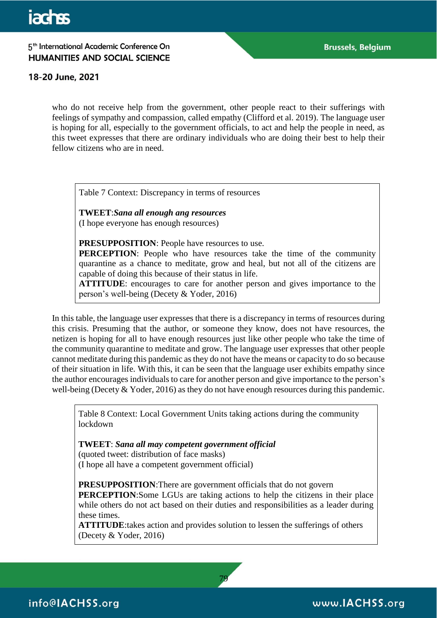## 18-20 June, 2021

who do not receive help from the government, other people react to their sufferings with feelings of sympathy and compassion, called empathy (Clifford et al. 2019). The language user is hoping for all, especially to the government officials, to act and help the people in need, as this tweet expresses that there are ordinary individuals who are doing their best to help their fellow citizens who are in need.

Table 7 Context: Discrepancy in terms of resources

**TWEET**:*Sana all enough ang resources* (I hope everyone has enough resources)

**PRESUPPOSITION**: People have resources to use.

**PERCEPTION:** People who have resources take the time of the community quarantine as a chance to meditate, grow and heal, but not all of the citizens are capable of doing this because of their status in life.

**ATTITUDE**: encourages to care for another person and gives importance to the person's well-being (Decety & Yoder, 2016)

In this table, the language user expresses that there is a discrepancy in terms of resources during this crisis. Presuming that the author, or someone they know, does not have resources, the netizen is hoping for all to have enough resources just like other people who take the time of the community quarantine to meditate and grow. The language user expresses that other people cannot meditate during this pandemic as they do not have the means or capacity to do so because of their situation in life. With this, it can be seen that the language user exhibits empathy since the author encourages individuals to care for another person and give importance to the person's well-being (Decety & Yoder, 2016) as they do not have enough resources during this pandemic.

Table 8 Context: Local Government Units taking actions during the community lockdown

**TWEET**: *Sana all may competent government official* 

(quoted tweet: distribution of face masks) (I hope all have a competent government official)

**PRESUPPOSITION**:There are government officials that do not govern **PERCEPTION:**Some LGUs are taking actions to help the citizens in their place while others do not act based on their duties and responsibilities as a leader during these times.

**ATTITUDE**:takes action and provides solution to lessen the sufferings of others (Decety & Yoder, 2016)

79

info@IACHSS.org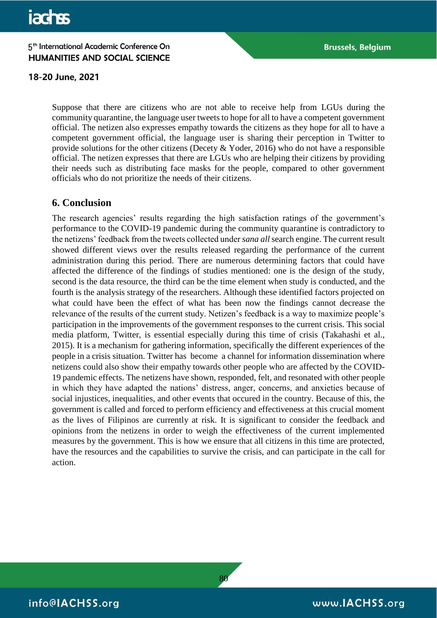#### 18-20 June, 2021

Suppose that there are citizens who are not able to receive help from LGUs during the community quarantine, the language user tweets to hope for all to have a competent government official. The netizen also expresses empathy towards the citizens as they hope for all to have a competent government official, the language user is sharing their perception in Twitter to provide solutions for the other citizens (Decety & Yoder, 2016) who do not have a responsible official. The netizen expresses that there are LGUs who are helping their citizens by providing their needs such as distributing face masks for the people, compared to other government officials who do not prioritize the needs of their citizens.

# **6. Conclusion**

The research agencies' results regarding the high satisfaction ratings of the government's performance to the COVID-19 pandemic during the community quarantine is contradictory to the netizens' feedback from the tweets collected under *sana all* search engine. The current result showed different views over the results released regarding the performance of the current administration during this period. There are numerous determining factors that could have affected the difference of the findings of studies mentioned: one is the design of the study, second is the data resource, the third can be the time element when study is conducted, and the fourth is the analysis strategy of the researchers. Although these identified factors projected on what could have been the effect of what has been now the findings cannot decrease the relevance of the results of the current study. Netizen's feedback is a way to maximize people's participation in the improvements of the government responses to the current crisis. This social media platform, Twitter, is essential especially during this time of crisis (Takahashi et al., 2015). It is a mechanism for gathering information, specifically the different experiences of the people in a crisis situation. Twitter has become a channel for information dissemination where netizens could also show their empathy towards other people who are affected by the COVID-19 pandemic effects. The netizens have shown, responded, felt, and resonated with other people in which they have adapted the nations' distress, anger, concerns, and anxieties because of social injustices, inequalities, and other events that occured in the country. Because of this, the government is called and forced to perform efficiency and effectiveness at this crucial moment as the lives of Filipinos are currently at risk. It is significant to consider the feedback and opinions from the netizens in order to weigh the effectiveness of the current implemented measures by the government. This is how we ensure that all citizens in this time are protected, have the resources and the capabilities to survive the crisis, and can participate in the call for action.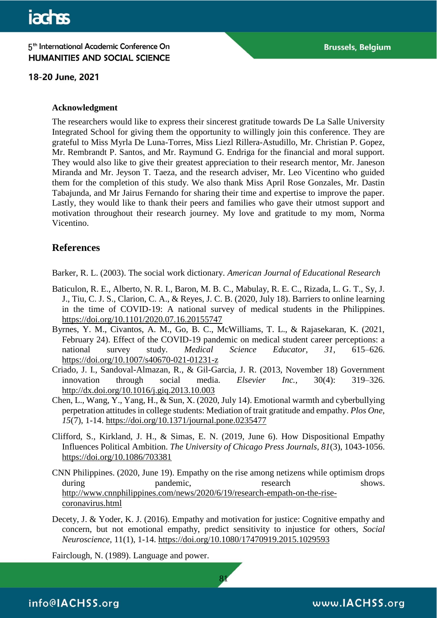18-20 June, 2021

#### **Acknowledgment**

The researchers would like to express their sincerest gratitude towards De La Salle University Integrated School for giving them the opportunity to willingly join this conference. They are grateful to Miss Myrla De Luna-Torres, Miss Liezl Rillera-Astudillo, Mr. Christian P. Gopez, Mr. Rembrandt P. Santos, and Mr. Raymund G. Endriga for the financial and moral support. They would also like to give their greatest appreciation to their research mentor, Mr. Janeson Miranda and Mr. Jeyson T. Taeza, and the research adviser, Mr. Leo Vicentino who guided them for the completion of this study. We also thank Miss April Rose Gonzales, Mr. Dastin Tabajunda, and Mr Jairus Fernando for sharing their time and expertise to improve the paper. Lastly, they would like to thank their peers and families who gave their utmost support and motivation throughout their research journey. My love and gratitude to my mom, Norma Vicentino.

# **References**

Barker, R. L. (2003). The social work dictionary. *American Journal of Educational Research*

- Baticulon, R. E., Alberto, N. R. I., Baron, M. B. C., Mabulay, R. E. C., Rizada, L. G. T., Sy, J. J., Tiu, C. J. S., Clarion, C. A., & Reyes, J. C. B. (2020, July 18). Barriers to online learning in the time of COVID-19: A national survey of medical students in the Philippines. <https://doi.org/10.1101/2020.07.16.20155747>
- Byrnes, Y. M., Civantos, A. M., Go, B. C., McWilliams, T. L., & Rajasekaran, K. (2021, February 24). Effect of the COVID-19 pandemic on medical student career perceptions: a national survey study. *Medical Science Educator*, *31*, 615–626. <https://doi.org/10.1007/s40670-021-01231-z>
- Criado, J. I., Sandoval-Almazan, R., & Gil-Garcia, J. R. (2013, November 18) Government innovation through social media. *Elsevier Inc.,* 30(4): 319–326. <http://dx.doi.org/10.1016/j.giq.2013.10.003>
- Chen, L., Wang, Y., Yang, H., & Sun, X. (2020, July 14). Emotional warmth and cyberbullying perpetration attitudes in college students: Mediation of trait gratitude and empathy. *Plos One, 15*(7), 1-14.<https://doi.org/10.1371/journal.pone.0235477>
- Clifford, S., Kirkland, J. H., & Simas, E. N. (2019, June 6). How Dispositional Empathy Influences Political Ambition. *The University of Chicago Press Journals, 81*(3), 1043-1056. <https://doi.org/10.1086/703381>
- CNN Philippines. (2020, June 19). Empathy on the rise among netizens while optimism drops during pandemic, research shows. [http://www.cnnphilippines.com/news/2020/6/19/research-empath-on-the-rise](http://www.cnnphilippines.com/news/2020/6/19/research-empath-on-the-rise-coronavirus.html)[coronavirus.html](http://www.cnnphilippines.com/news/2020/6/19/research-empath-on-the-rise-coronavirus.html)
- Decety, J. & Yoder, K. J. (2016). Empathy and motivation for justice: Cognitive empathy and concern, but not emotional empathy, predict sensitivity to injustice for others, *Social Neuroscience*, 11(1), 1-14.<https://doi.org/10.1080/17470919.2015.1029593>

81

Fairclough, N. (1989). Language and power.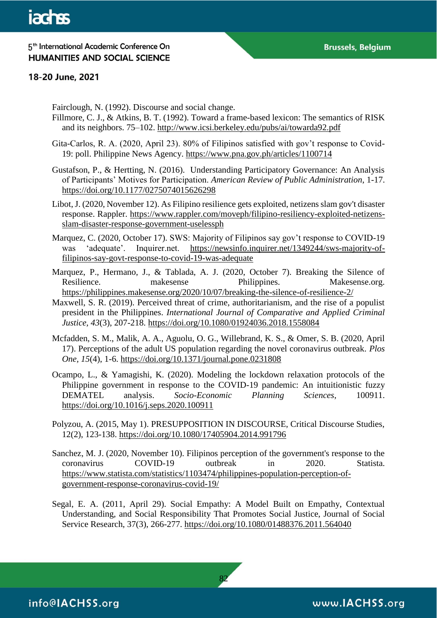#### 18-20 June, 2021

Fairclough, N. (1992). Discourse and social change.

- Fillmore, C. J., & Atkins, B. T. (1992). Toward a frame-based lexicon: The semantics of RISK and its neighbors. 75–102.<http://www.icsi.berkeley.edu/pubs/ai/towarda92.pdf>
- Gita-Carlos, R. A. (2020, April 23). 80% of Filipinos satisfied with gov't response to Covid-19: poll. Philippine News Agency.<https://www.pna.gov.ph/articles/1100714>
- Gustafson, P., & Hertting, N. (2016). Understanding Participatory Governance: An Analysis of Participants' Motives for Participation. *American Review of Public Administration*, 1-17. <https://doi.org/10.1177/0275074015626298>
- Libot, J. (2020, November 12). As Filipino resilience gets exploited, netizens slam gov't disaster response. Rappler. [https://www.rappler.com/moveph/filipino-resiliency-exploited-netizens](https://www.rappler.com/moveph/filipino-resiliency-exploited-netizens-slam-disaster-response-government-uselessph)[slam-disaster-response-government-uselessph](https://www.rappler.com/moveph/filipino-resiliency-exploited-netizens-slam-disaster-response-government-uselessph)
- Marquez, C. (2020, October 17). SWS: Majority of Filipinos say gov't response to COVID-19 was 'adequate'. Inquirer.net. [https://newsinfo.inquirer.net/1349244/sws-majority-of](https://newsinfo.inquirer.net/1349244/sws-majority-of-filipinos-say-govt-response-to-covid-19-was-adequate)[filipinos-say-govt-response-to-covid-19-was-adequate](https://newsinfo.inquirer.net/1349244/sws-majority-of-filipinos-say-govt-response-to-covid-19-was-adequate)

Marquez, P., Hermano, J., & Tablada, A. J. (2020, October 7). Breaking the Silence of Resilience. The makesense Philippines. Makesense.org. <https://philippines.makesense.org/2020/10/07/breaking-the-silence-of-resilience-2/>

- Maxwell, S. R. (2019). Perceived threat of crime, authoritarianism, and the rise of a populist president in the Philippines. *International Journal of Comparative and Applied Criminal Justice, 43*(3), 207-218.<https://doi.org/10.1080/01924036.2018.1558084>
- Mcfadden, S. M., Malik, A. A., Aguolu, O. G., Willebrand, K. S., & Omer, S. B. (2020, April 17). Perceptions of the adult US population regarding the novel coronavirus outbreak. *Plos One, 15*(4), 1-6.<https://doi.org/10.1371/journal.pone.0231808>
- Ocampo, L., & Yamagishi, K. (2020). Modeling the lockdown relaxation protocols of the Philippine government in response to the COVID-19 pandemic: An intuitionistic fuzzy DEMATEL analysis. *Socio-Economic Planning Sciences*, 100911. <https://doi.org/10.1016/j.seps.2020.100911>
- Polyzou, A. (2015, May 1). PRESUPPOSITION IN DISCOURSE, Critical Discourse Studies, 12(2), 123-138.<https://doi.org/10.1080/17405904.2014.991796>
- Sanchez, M. J. (2020, November 10). Filipinos perception of the government's response to the coronavirus COVID-19 outbreak in 2020. Statista. coronavirus COVID-19 outbreak in 2020. Statista. [https://www.statista.com/statistics/1103474/philippines-population-perception-of](https://www.statista.com/statistics/1103474/philippines-population-perception-of-government-response-coronavirus-covid-19/)[government-response-coronavirus-covid-19/](https://www.statista.com/statistics/1103474/philippines-population-perception-of-government-response-coronavirus-covid-19/)
- Segal, E. A. (2011, April 29). Social Empathy: A Model Built on Empathy, Contextual Understanding, and Social Responsibility That Promotes Social Justice, Journal of Social Service Research, 37(3), 266-277.<https://doi.org/10.1080/01488376.2011.564040>

82

info@IACHSS.org